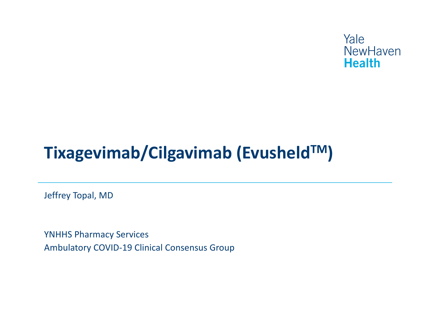

Jeffrey Topal, MD

YNHHS Pharmacy Services Ambulatory COVID-19 Clinical Consensus Group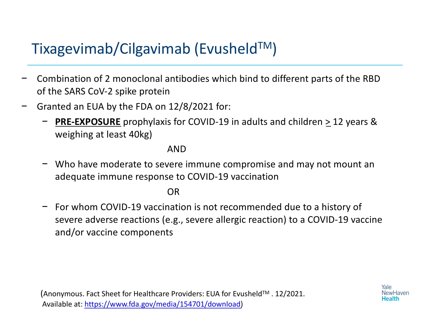- − Combination of 2 monoclonal antibodies which bind to different parts of the RBD of the SARS CoV-2 spike protein
- − Granted an EUA by the FDA on 12/8/2021 for:
	- **PRE-EXPOSURE** prophylaxis for COVID-19 in adults and children > 12 years & weighing at least 40kg)

#### AND

− Who have moderate to severe immune compromise and may not mount an adequate immune response to COVID-19 vaccination

OR

− For whom COVID-19 vaccination is not recommended due to a history of severe adverse reactions (e.g., severe allergic reaction) to a COVID-19 vaccine and/or vaccine components

(Anonymous. Fact Sheet for Healthcare Providers: EUA for EvusheldTM . 12/2021. Available [at: https://www.fda.gov/media/154701/downloa](https://www.fda.gov/media/154701/download)d)

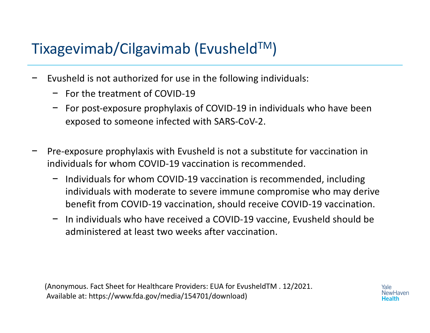- − Evusheld is not authorized for use in the following individuals:
	- − For the treatment of COVID-19
	- − For post-exposure prophylaxis of COVID-19 in individuals who have been exposed to someone infected with SARS-CoV-2.
- Pre-exposure prophylaxis with Evusheld is not a substitute for vaccination in individuals for whom COVID-19 vaccination is recommended.
	- − Individuals for whom COVID-19 vaccination is recommended, including individuals with moderate to severe immune compromise who may derive benefit from COVID-19 vaccination, should receive COVID-19 vaccination.
	- − In individuals who have received a COVID-19 vaccine, Evusheld should be administered at least two weeks after vaccination.

(Anonymous. Fact Sheet for Healthcare Providers: EUA for EvusheldTM . 12/2021. Available at: https://www.fda.gov/media/154701/download)

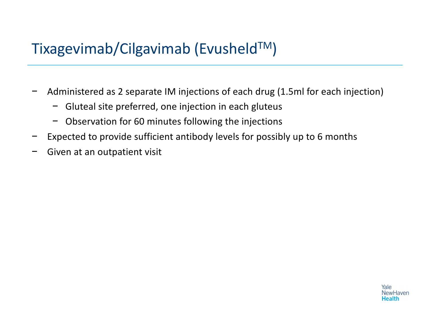- − Administered as 2 separate IM injections of each drug (1.5ml for each injection)
	- − Gluteal site preferred, one injection in each gluteus
	- − Observation for 60 minutes following the injections
- Expected to provide sufficient antibody levels for possibly up to 6 months
- Given at an outpatient visit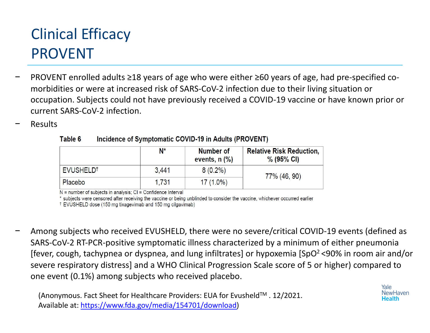# Clinical Efficacy PROVENT

- − PROVENT enrolled adults ≥18 years of age who were either ≥60 years of age, had pre-specified comorbidities or were at increased risk of SARS-CoV-2 infection due to their living situation or occupation. Subjects could not have previously received a COVID-19 vaccine or have known prior or current SARS-CoV-2 infection.
- − Results

|                       | $N^*$ | Number of<br>events, $n$ $\left(\% \right)$ | <b>Relative Risk Reduction,</b><br>$% (95\% \text{ Cl})$ |
|-----------------------|-------|---------------------------------------------|----------------------------------------------------------|
| EVUSHELD <sup>†</sup> | 3.441 | $8(0.2\%)$                                  | 77% (46, 90)                                             |
| Placebo               | 1.731 | $17(1.0\%)$                                 |                                                          |

Incidence of Symptomatic COVID-19 in Adults (PROVENT) Table 6

 $N =$  number of subjects in analysis;  $CI =$  Confidence Interval

\* subjects were censored after receiving the vaccine or being unblinded to consider the vaccine, whichever occurred earlier

<sup>†</sup> EVUSHELD dose (150 mg tixagevimab and 150 mg cilgavimab)

− Among subjects who received EVUSHELD, there were no severe/critical COVID-19 events (defined as SARS-CoV-2 RT-PCR-positive symptomatic illness characterized by a minimum of either pneumonia [fever, cough, tachypnea or dyspnea, and lung infiltrates] or hypoxemia [SpO2 <90% in room air and/or severe respiratory distress] and a WHO Clinical Progression Scale score of 5 or higher) compared to one event (0.1%) among subjects who received placebo.

(Anonymous. Fact Sheet for Healthcare Providers: EUA for Evusheld™ . 12/2021. Available a[t: https://www.fda.gov/media/154701/downloa](https://www.fda.gov/media/154701/download)d)

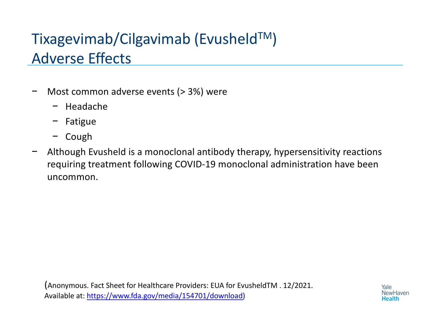# Tixagevimab/Cilgavimab (EvusheldTM) Adverse Effects

- − Most common adverse events (> 3%) were
	- − Headache
	- − Fatigue
	- − Cough
- − Although Evusheld is a monoclonal antibody therapy, hypersensitivity reactions requiring treatment following COVID-19 monoclonal administration have been uncommon.

(Anonymous. Fact Sheet for Healthcare Providers: EUA for EvusheldTM . 12/2021. Available a[t: https://www.fda.gov/media/154701/downloa](https://www.fda.gov/media/154701/download)d)